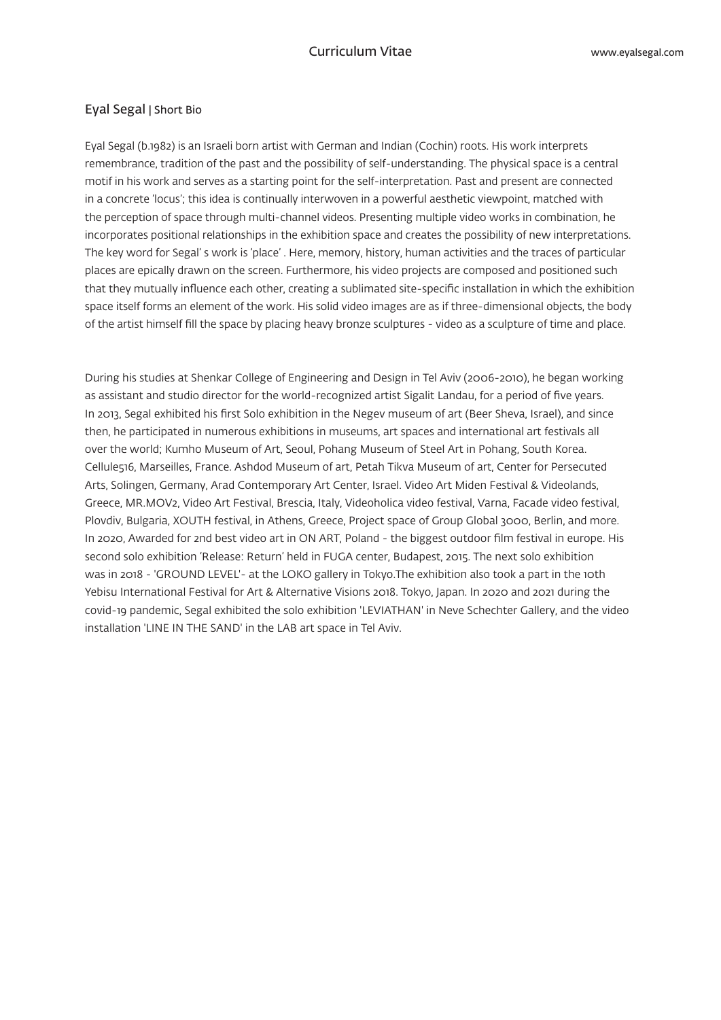## Eval Segal | Short Bio

Eyal Segal (b.1982) is an Israeli born artist with German and Indian (Cochin) roots. His work interprets remembrance, tradition of the past and the possibility of self-understanding. The physical space is a central motif in his work and serves as a starting point for the self-interpretation. Past and present are connected in a concrete 'locus'; this idea is continually interwoven in a powerful aesthetic viewpoint, matched with the perception of space through multi-channel videos. Presenting multiple video works in combination, he incorporates positional relationships in the exhibition space and creates the possibility of new interpretations. The key word for Segal's work is 'place'. Here, memory, history, human activities and the traces of particular places are epically drawn on the screen. Furthermore, his video projects are composed and positioned such that they mutually influence each other, creating a sublimated site-specific installation in which the exhibition space itself forms an element of the work. His solid video images are as if three-dimensional objects, the body of the artist himself fill the space by placing heavy bronze sculptures - video as a sculpture of time and place.

During his studies at Shenkar College of Engineering and Design in Tel Aviv (2006-2010), he began working as assistant and studio director for the world-recognized artist Sigalit Landau, for a period of five years. In 2013, Segal exhibited his first Solo exhibition in the Negev museum of art (Beer Sheva, Israel), and since then, he participated in numerous exhibitions in museums, art spaces and international art festivals all over the world; Kumho Museum of Art, Seoul, Pohang Museum of Steel Art in Pohang, South Korea. Cellule516, Marseilles, France. Ashdod Museum of art, Petah Tikva Museum of art, Center for Persecuted Arts, Solingen, Germany, Arad Contemporary Art Center, Israel, Video Art Miden Festival & Videolands. Greece, MR.MOV2, Video Art Festival, Brescia, Italy, Videoholica video festival, Varna, Facade video festival, .more in Athens, School and School, Group Global 3000, Berlin, and more in the space of Group Global 3000, Berlin, and more. In 2020, Awarded for 2nd best video art in ON ART, Poland - the biggest outdoor film festival in europe. His second solo exhibition 'Release: Return' held in FUGA center, Budapest, 2015. The next solo exhibition was in 2018 - 'GROUND LEVEL'- at the LOKO gallery in Tokyo. The exhibition also took a part in the 10th Yebisu International Festival for Art & Alternative Visions 2018. Tokyo, Japan. In 2020 and 2021 during the covid-19 pandemic, Segal exhibited the solo exhibition 'LEVIATHAN' in Neve Schechter Gallery, and the video installation 'LINE IN THE SAND' in the LAB art space in Tel Aviv.